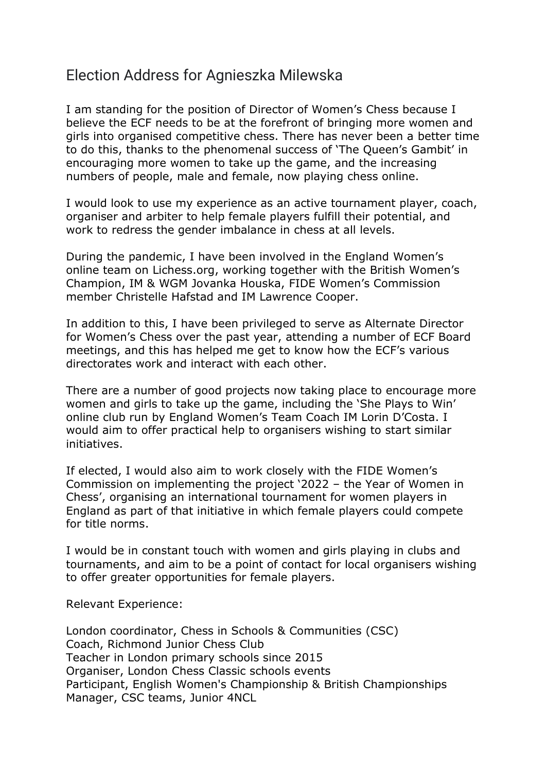## Election Address for Agnieszka Milewska

I am standing for the position of Director of Women's Chess because I believe the ECF needs to be at the forefront of bringing more women and girls into organised competitive chess. There has never been a better time to do this, thanks to the phenomenal success of 'The Queen's Gambit' in encouraging more women to take up the game, and the increasing numbers of people, male and female, now playing chess online.

I would look to use my experience as an active tournament player, coach, organiser and arbiter to help female players fulfill their potential, and work to redress the gender imbalance in chess at all levels.

During the pandemic, I have been involved in the England Women's online team on Lichess.org, working together with the British Women's Champion, IM & WGM Jovanka Houska, FIDE Women's Commission member Christelle Hafstad and IM Lawrence Cooper.

In addition to this, I have been privileged to serve as Alternate Director for Women's Chess over the past year, attending a number of ECF Board meetings, and this has helped me get to know how the ECF's various directorates work and interact with each other.

There are a number of good projects now taking place to encourage more women and girls to take up the game, including the 'She Plays to Win' online club run by England Women's Team Coach IM Lorin D'Costa. I would aim to offer practical help to organisers wishing to start similar initiatives.

If elected, I would also aim to work closely with the FIDE Women's Commission on implementing the project '2022 – the Year of Women in Chess', organising an international tournament for women players in England as part of that initiative in which female players could compete for title norms.

I would be in constant touch with women and girls playing in clubs and tournaments, and aim to be a point of contact for local organisers wishing to offer greater opportunities for female players.

Relevant Experience:

London coordinator, Chess in Schools & Communities (CSC) Coach, Richmond Junior Chess Club Teacher in London primary schools since 2015 Organiser, London Chess Classic schools events Participant, English Women's Championship & British Championships Manager, CSC teams, Junior 4NCL